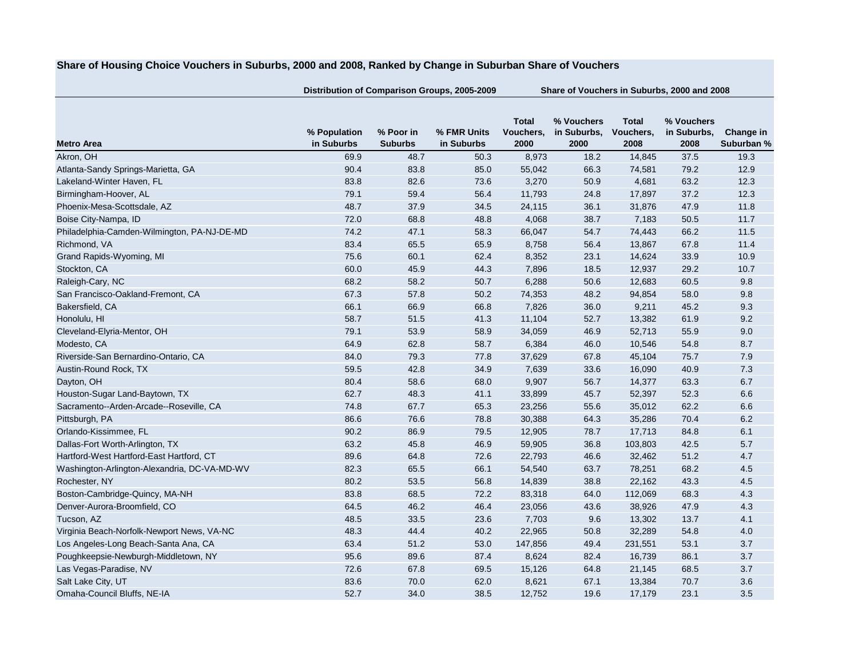## **Share of Housing Choice Vouchers in Suburbs, 2000 and 2008, Ranked by Change in Suburban Share of Vouchers**

**Distribution of Comparison Groups, 2005-2009 Share of Vouchers in Suburbs, 2000 and 2008**

|                                              | % Population | % Poor in      | % FMR Units | <b>Total</b><br>Vouchers, | % Vouchers<br>in Suburbs, | <b>Total</b><br>Vouchers, | % Vouchers<br>in Suburbs, | Change in  |
|----------------------------------------------|--------------|----------------|-------------|---------------------------|---------------------------|---------------------------|---------------------------|------------|
| <b>Metro Area</b>                            | in Suburbs   | <b>Suburbs</b> | in Suburbs  | 2000                      | 2000                      | 2008                      | 2008                      | Suburban % |
| Akron, OH                                    | 69.9         | 48.7           | 50.3        | 8,973                     | 18.2                      | 14,845                    | 37.5                      | 19.3       |
| Atlanta-Sandy Springs-Marietta, GA           | 90.4         | 83.8           | 85.0        | 55,042                    | 66.3                      | 74,581                    | 79.2                      | 12.9       |
| Lakeland-Winter Haven, FL                    | 83.8         | 82.6           | 73.6        | 3,270                     | 50.9                      | 4,681                     | 63.2                      | 12.3       |
| Birmingham-Hoover, AL                        | 79.1         | 59.4           | 56.4        | 11,793                    | 24.8                      | 17,897                    | 37.2                      | 12.3       |
| Phoenix-Mesa-Scottsdale, AZ                  | 48.7         | 37.9           | 34.5        | 24,115                    | 36.1                      | 31,876                    | 47.9                      | 11.8       |
| Boise City-Nampa, ID                         | 72.0         | 68.8           | 48.8        | 4,068                     | 38.7                      | 7,183                     | 50.5                      | 11.7       |
| Philadelphia-Camden-Wilmington, PA-NJ-DE-MD  | 74.2         | 47.1           | 58.3        | 66,047                    | 54.7                      | 74,443                    | 66.2                      | 11.5       |
| Richmond, VA                                 | 83.4         | 65.5           | 65.9        | 8,758                     | 56.4                      | 13,867                    | 67.8                      | 11.4       |
| Grand Rapids-Wyoming, MI                     | 75.6         | 60.1           | 62.4        | 8,352                     | 23.1                      | 14,624                    | 33.9                      | 10.9       |
| Stockton, CA                                 | 60.0         | 45.9           | 44.3        | 7,896                     | 18.5                      | 12,937                    | 29.2                      | 10.7       |
| Raleigh-Cary, NC                             | 68.2         | 58.2           | 50.7        | 6,288                     | 50.6                      | 12,683                    | 60.5                      | 9.8        |
| San Francisco-Oakland-Fremont, CA            | 67.3         | 57.8           | 50.2        | 74,353                    | 48.2                      | 94,854                    | 58.0                      | 9.8        |
| Bakersfield, CA                              | 66.1         | 66.9           | 66.8        | 7,826                     | 36.0                      | 9,211                     | 45.2                      | 9.3        |
| Honolulu, HI                                 | 58.7         | 51.5           | 41.3        | 11,104                    | 52.7                      | 13,382                    | 61.9                      | 9.2        |
| Cleveland-Elyria-Mentor, OH                  | 79.1         | 53.9           | 58.9        | 34,059                    | 46.9                      | 52,713                    | 55.9                      | 9.0        |
| Modesto, CA                                  | 64.9         | 62.8           | 58.7        | 6,384                     | 46.0                      | 10,546                    | 54.8                      | 8.7        |
| Riverside-San Bernardino-Ontario, CA         | 84.0         | 79.3           | 77.8        | 37,629                    | 67.8                      | 45,104                    | 75.7                      | 7.9        |
| Austin-Round Rock, TX                        | 59.5         | 42.8           | 34.9        | 7,639                     | 33.6                      | 16,090                    | 40.9                      | 7.3        |
| Dayton, OH                                   | 80.4         | 58.6           | 68.0        | 9,907                     | 56.7                      | 14,377                    | 63.3                      | 6.7        |
| Houston-Sugar Land-Baytown, TX               | 62.7         | 48.3           | 41.1        | 33,899                    | 45.7                      | 52,397                    | 52.3                      | 6.6        |
| Sacramento--Arden-Arcade--Roseville, CA      | 74.8         | 67.7           | 65.3        | 23,256                    | 55.6                      | 35,012                    | 62.2                      | 6.6        |
| Pittsburgh, PA                               | 86.6         | 76.6           | 78.8        | 30,388                    | 64.3                      | 35,286                    | 70.4                      | 6.2        |
| Orlando-Kissimmee, FL                        | 90.2         | 86.9           | 79.5        | 12,905                    | 78.7                      | 17,713                    | 84.8                      | 6.1        |
| Dallas-Fort Worth-Arlington, TX              | 63.2         | 45.8           | 46.9        | 59,905                    | 36.8                      | 103,803                   | 42.5                      | 5.7        |
| Hartford-West Hartford-East Hartford, CT     | 89.6         | 64.8           | 72.6        | 22,793                    | 46.6                      | 32,462                    | 51.2                      | 4.7        |
| Washington-Arlington-Alexandria, DC-VA-MD-WV | 82.3         | 65.5           | 66.1        | 54,540                    | 63.7                      | 78,251                    | 68.2                      | 4.5        |
| Rochester, NY                                | 80.2         | 53.5           | 56.8        | 14,839                    | 38.8                      | 22,162                    | 43.3                      | 4.5        |
| Boston-Cambridge-Quincy, MA-NH               | 83.8         | 68.5           | 72.2        | 83,318                    | 64.0                      | 112,069                   | 68.3                      | 4.3        |
| Denver-Aurora-Broomfield, CO                 | 64.5         | 46.2           | 46.4        | 23,056                    | 43.6                      | 38,926                    | 47.9                      | 4.3        |
| Tucson, AZ                                   | 48.5         | 33.5           | 23.6        | 7,703                     | 9.6                       | 13,302                    | 13.7                      | 4.1        |
| Virginia Beach-Norfolk-Newport News, VA-NC   | 48.3         | 44.4           | 40.2        | 22,965                    | 50.8                      | 32,289                    | 54.8                      | 4.0        |
| Los Angeles-Long Beach-Santa Ana, CA         | 63.4         | 51.2           | 53.0        | 147,856                   | 49.4                      | 231,551                   | 53.1                      | 3.7        |
| Poughkeepsie-Newburgh-Middletown, NY         | 95.6         | 89.6           | 87.4        | 8,624                     | 82.4                      | 16,739                    | 86.1                      | 3.7        |
| Las Vegas-Paradise, NV                       | 72.6         | 67.8           | 69.5        | 15,126                    | 64.8                      | 21,145                    | 68.5                      | 3.7        |
| Salt Lake City, UT                           | 83.6         | 70.0           | 62.0        | 8,621                     | 67.1                      | 13,384                    | 70.7                      | 3.6        |
| Omaha-Council Bluffs, NE-IA                  | 52.7         | 34.0           | 38.5        | 12,752                    | 19.6                      | 17,179                    | 23.1                      | 3.5        |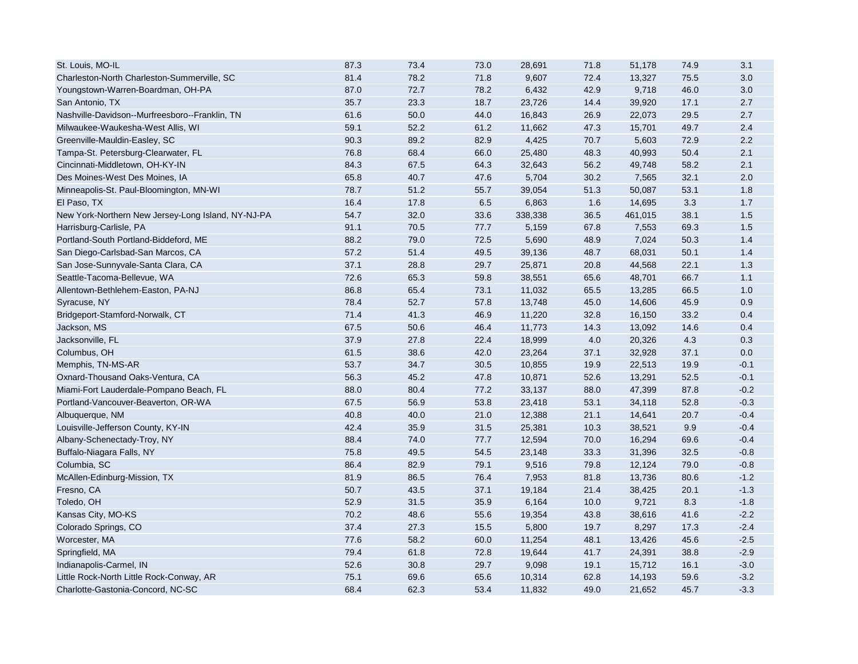| St. Louis, MO-IL                                   | 87.3 | 73.4 | 73.0 | 28,691  | 71.8 | 51,178  | 74.9 | 3.1    |
|----------------------------------------------------|------|------|------|---------|------|---------|------|--------|
| Charleston-North Charleston-Summerville, SC        | 81.4 | 78.2 | 71.8 | 9,607   | 72.4 | 13,327  | 75.5 | 3.0    |
| Youngstown-Warren-Boardman, OH-PA                  | 87.0 | 72.7 | 78.2 | 6,432   | 42.9 | 9,718   | 46.0 | 3.0    |
| San Antonio, TX                                    | 35.7 | 23.3 | 18.7 | 23,726  | 14.4 | 39,920  | 17.1 | 2.7    |
| Nashville-Davidson--Murfreesboro--Franklin, TN     | 61.6 | 50.0 | 44.0 | 16,843  | 26.9 | 22,073  | 29.5 | 2.7    |
| Milwaukee-Waukesha-West Allis, WI                  | 59.1 | 52.2 | 61.2 | 11,662  | 47.3 | 15,701  | 49.7 | 2.4    |
| Greenville-Mauldin-Easley, SC                      | 90.3 | 89.2 | 82.9 | 4,425   | 70.7 | 5,603   | 72.9 | 2.2    |
| Tampa-St. Petersburg-Clearwater, FL                | 76.8 | 68.4 | 66.0 | 25,480  | 48.3 | 40,993  | 50.4 | 2.1    |
| Cincinnati-Middletown, OH-KY-IN                    | 84.3 | 67.5 | 64.3 | 32,643  | 56.2 | 49,748  | 58.2 | 2.1    |
| Des Moines-West Des Moines, IA                     | 65.8 | 40.7 | 47.6 | 5,704   | 30.2 | 7,565   | 32.1 | 2.0    |
| Minneapolis-St. Paul-Bloomington, MN-WI            | 78.7 | 51.2 | 55.7 | 39,054  | 51.3 | 50,087  | 53.1 | 1.8    |
| El Paso, TX                                        | 16.4 | 17.8 | 6.5  | 6,863   | 1.6  | 14,695  | 3.3  | 1.7    |
| New York-Northern New Jersey-Long Island, NY-NJ-PA | 54.7 | 32.0 | 33.6 | 338,338 | 36.5 | 461,015 | 38.1 | 1.5    |
| Harrisburg-Carlisle, PA                            | 91.1 | 70.5 | 77.7 | 5,159   | 67.8 | 7,553   | 69.3 | 1.5    |
| Portland-South Portland-Biddeford, ME              | 88.2 | 79.0 | 72.5 | 5,690   | 48.9 | 7,024   | 50.3 | 1.4    |
| San Diego-Carlsbad-San Marcos, CA                  | 57.2 | 51.4 | 49.5 | 39,136  | 48.7 | 68,031  | 50.1 | 1.4    |
| San Jose-Sunnyvale-Santa Clara, CA                 | 37.1 | 28.8 | 29.7 | 25,871  | 20.8 | 44,568  | 22.1 | 1.3    |
| Seattle-Tacoma-Bellevue, WA                        | 72.6 | 65.3 | 59.8 | 38,551  | 65.6 | 48,701  | 66.7 | 1.1    |
| Allentown-Bethlehem-Easton, PA-NJ                  | 86.8 | 65.4 | 73.1 | 11,032  | 65.5 | 13,285  | 66.5 | 1.0    |
| Syracuse, NY                                       | 78.4 | 52.7 | 57.8 | 13,748  | 45.0 | 14,606  | 45.9 | 0.9    |
| Bridgeport-Stamford-Norwalk, CT                    | 71.4 | 41.3 | 46.9 | 11,220  | 32.8 | 16,150  | 33.2 | 0.4    |
| Jackson, MS                                        | 67.5 | 50.6 | 46.4 | 11,773  | 14.3 | 13,092  | 14.6 | 0.4    |
| Jacksonville, FL                                   | 37.9 | 27.8 | 22.4 | 18,999  | 4.0  | 20,326  | 4.3  | 0.3    |
| Columbus, OH                                       | 61.5 | 38.6 | 42.0 | 23,264  | 37.1 | 32,928  | 37.1 | 0.0    |
| Memphis, TN-MS-AR                                  | 53.7 | 34.7 | 30.5 | 10,855  | 19.9 | 22,513  | 19.9 | $-0.1$ |
| Oxnard-Thousand Oaks-Ventura, CA                   | 56.3 | 45.2 | 47.8 | 10,871  | 52.6 | 13,291  | 52.5 | $-0.1$ |
| Miami-Fort Lauderdale-Pompano Beach, FL            | 88.0 | 80.4 | 77.2 | 33,137  | 88.0 | 47,399  | 87.8 | $-0.2$ |
| Portland-Vancouver-Beaverton, OR-WA                | 67.5 | 56.9 | 53.8 | 23,418  | 53.1 | 34,118  | 52.8 | $-0.3$ |
| Albuquerque, NM                                    | 40.8 | 40.0 | 21.0 | 12,388  | 21.1 | 14,641  | 20.7 | $-0.4$ |
| Louisville-Jefferson County, KY-IN                 | 42.4 | 35.9 | 31.5 | 25,381  | 10.3 | 38,521  | 9.9  | $-0.4$ |
| Albany-Schenectady-Troy, NY                        | 88.4 | 74.0 | 77.7 | 12,594  | 70.0 | 16,294  | 69.6 | $-0.4$ |
| Buffalo-Niagara Falls, NY                          | 75.8 | 49.5 | 54.5 | 23,148  | 33.3 | 31,396  | 32.5 | $-0.8$ |
| Columbia, SC                                       | 86.4 | 82.9 | 79.1 | 9,516   | 79.8 | 12,124  | 79.0 | $-0.8$ |
| McAllen-Edinburg-Mission, TX                       | 81.9 | 86.5 | 76.4 | 7,953   | 81.8 | 13,736  | 80.6 | $-1.2$ |
| Fresno, CA                                         | 50.7 | 43.5 | 37.1 | 19,184  | 21.4 | 38,425  | 20.1 | $-1.3$ |
| Toledo, OH                                         | 52.9 | 31.5 | 35.9 | 6,164   | 10.0 | 9,721   | 8.3  | $-1.8$ |
| Kansas City, MO-KS                                 | 70.2 | 48.6 | 55.6 | 19,354  | 43.8 | 38,616  | 41.6 | $-2.2$ |
| Colorado Springs, CO                               | 37.4 | 27.3 | 15.5 | 5,800   | 19.7 | 8,297   | 17.3 | $-2.4$ |
| Worcester, MA                                      | 77.6 | 58.2 | 60.0 | 11,254  | 48.1 | 13,426  | 45.6 | $-2.5$ |
| Springfield, MA                                    | 79.4 | 61.8 | 72.8 | 19,644  | 41.7 | 24,391  | 38.8 | $-2.9$ |
| Indianapolis-Carmel, IN                            | 52.6 | 30.8 | 29.7 | 9,098   | 19.1 | 15,712  | 16.1 | $-3.0$ |
| Little Rock-North Little Rock-Conway, AR           | 75.1 | 69.6 | 65.6 | 10,314  | 62.8 | 14,193  | 59.6 | $-3.2$ |
| Charlotte-Gastonia-Concord, NC-SC                  | 68.4 | 62.3 | 53.4 | 11,832  | 49.0 | 21,652  | 45.7 | $-3.3$ |